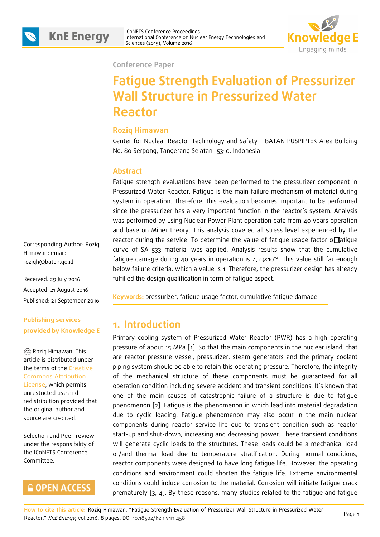



ICoNETS Conference Proceedings International Conference on Nuclear Energy Technologies and



**Conference Paper**

# **Fatigue Strength Evaluation of Pressurizer Wall Structure in Pressurized Water Reactor**

#### **Roziq Himawan**

Center for Nuclear Reactor Technology and Safety – BATAN PUSPIPTEK Area Building No. 80 Serpong, Tangerang Selatan 15310, Indonesia

#### **Abstract**

Fatigue strength evaluations have been performed to the pressurizer component in Pressurized Water Reactor. Fatigue is the main failure mechanism of material during system in operation. Therefore, this evaluation becomes important to be performed since the pressurizer has a very important function in the reactor's system. Analysis was performed by using Nuclear Power Plant operation data from 40 years operation and base on Miner theory. This analysis covered all stress level experienced by the reactor during the service. To determine the value of fatigue usage factor  $\alpha$  fatigue curve of SA 533 material was applied. Analysis results show that the cumulative fatigue damage during 40 years in operation is 4,23×10−4. This value still far enough below failure criteria, which a value is 1. Therefore, the pressurizer design has already fulfilled the design qualification in term of fatigue aspect.

**Keywords:** pressurizer, fatigue usage factor, cumulative fatigue damage

### **1. Introduction**

Primary cooling system of Pressurized Water Reactor (PWR) has a high operating pressure of about 15 MPa [1]. So that the main components in the nuclear island, that are reactor pressure vessel, pressurizer, steam generators and the primary coolant piping system should be able to retain this operating pressure. Therefore, the integrity of the mechanical structure of these components must be guaranteed for all operation condition including severe accident and transient conditions. It's known that one of the main causes of catastrophic failure of a structure is due to fatigue phenomenon [2]. Fatigue is the phenomenon in which lead into material degradation due to cyclic loading. Fatigue phenomenon may also occur in the main nuclear components during reactor service life due to transient condition such as reactor start-up and shut-down, increasing and decreasing power. These transient conditions will generate cyclic loads to the structures. These loads could be a mechanical load or/and thermal load due to temperature stratification. During normal conditions, reactor components were designed to have long fatigue life. However, the operating conditions and environment could shorten the fatigue life. Extreme environmental conditions could induce corrosion to the material. Corrosion will initiate fatigue crack prematurely [3, 4]. By these reasons, many studies related to the fatigue and fatigue

Corresponding Author: Roziq Himawan; email: roziqh@batan.go.id

Received: 29 July 2016 Accepted: 21 August 2016 Published: 21 September 2016

#### **Publishing services provided by Knowledge E**

Roziq Himawan. This article is distributed under the terms of the Creative Commons Attribution License, which permits unrestricted use and redistribution provided that the original author and source are credited.

Selection and Peer-review under the responsibility of the ICoNETS Conference Committee.

## **GOPEN ACCESS**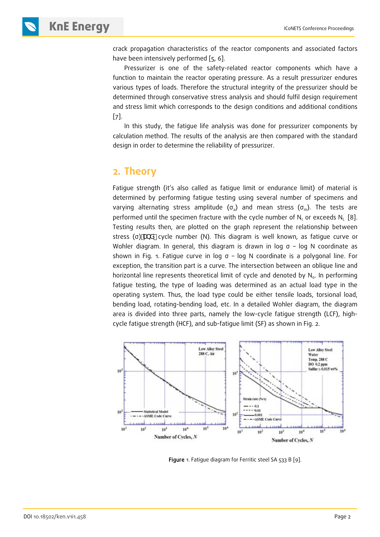**KNE ENERGY ICONETS Conference Proceedings** 

crack propagation characteristics of the reactor components and associated factors have been intensively performed [5, 6].

Pressurizer is one of the safety-related reactor components which have a function to maintain the reactor operating pressure. As a result pressurizer endures various types of loads. Therefore the structural integrity of the pressurizer should be determined through conservative stress analysis and should fulfil design requirement and stress limit which corresponds to the design conditions and additional conditions  $\lceil 7 \rceil$ .

In this study, the fatigue life analysis was done for pressurizer components by calculation method. The results of the analysis are then compared with the standard design in order to determine the reliability of pressurizer.

### **2. Theory**

Fatigue strength (it's also called as fatigue limit or endurance limit) of material is determined by performing fatigue testing using several number of specimens and varying alternating stress amplitude ( $\sigma_a$ ) and mean stress ( $\sigma_m$ ). The tests are performed until the specimen fracture with the cycle number of  $N_c$  or exceeds  $N_L$  [8]. Testing results then, are plotted on the graph represent the relationship between stress (σ) UbX cycle number (N). This diagram is well known, as fatigue curve or Wohler diagram. In general, this diagram is drawn in log  $\sigma$  – log N coordinate as shown in Fig. 1. Fatigue curve in log  $σ - log N$  coordinate is a polygonal line. For exception, the transition part is a curve. The intersection between an oblique line and horizontal line represents theoretical limit of cycle and denoted by  $N_{0}$ . In performing fatigue testing, the type of loading was determined as an actual load type in the operating system. Thus, the load type could be either tensile loads, torsional load, bending load, rotating-bending load, etc. In a detailed Wohler diagram, the diagram area is divided into three parts, namely the low-cycle fatigue strength (LCF), highcycle fatigue strength (HCF), and sub-fatigue limit (SF) as shown in Fig. 2.



Figure 1. Fatigue diagram for Ferritic steel SA 533 B [9].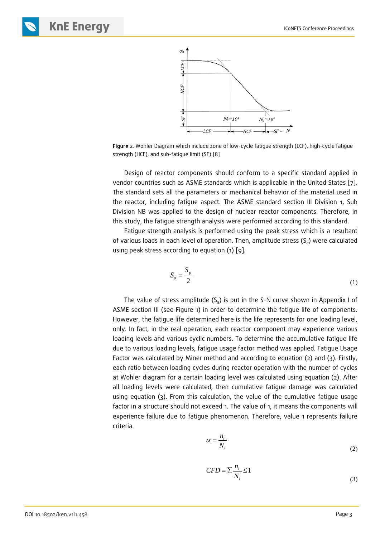

Figure 2. Wohler Diagram which include zone of low-cycle fatigue strength (LCF), high-cycle fatigue strength (HCF), and sub-fatigue limit (SF) [8]

Design of reactor components should conform to a specific standard applied in vendor countries such as ASME standards which is applicable in the United States [7]. The standard sets all the parameters or mechanical behavior of the material used in the reactor, including fatigue aspect. The ASME standard section III Division 1, Sub Division NB was applied to the design of nuclear reactor components. Therefore, in this study, the fatigue strength analysis were performed according to this standard.

Fatigue strength analysis is performed using the peak stress which is a resultant of various loads in each level of operation. Then, amplitude stress  $(S_a)$  were calculated using peak stress according to equation (1) [9].

$$
S_a = \frac{S_p}{2} \tag{1}
$$

The value of stress amplitude  $(S_a)$  is put in the S-N curve shown in Appendix I of ASME section III (see Figure 1) in order to determine the fatigue life of components. However, the fatigue life determined here is the life represents for one loading level, only. In fact, in the real operation, each reactor component may experience various loading levels and various cyclic numbers. To determine the accumulative fatigue life due to various loading levels, fatigue usage factor method was applied. Fatigue Usage Factor was calculated by Miner method and according to equation (2) and (3). Firstly, each ratio between loading cycles during reactor operation with the number of cycles at Wohler diagram for a certain loading level was calculated using equation (2). After all loading levels were calculated, then cumulative fatigue damage was calculated using equation (3). From this calculation, the value of the cumulative fatigue usage factor in a structure should not exceed 1. The value of 1, it means the components will experience failure due to fatigue phenomenon. Therefore, value 1 represents failure criteria.

$$
\alpha = \frac{n_i}{N_i} \tag{2}
$$

$$
CFD = \sum_{i} \frac{n_i}{N_i} \le 1
$$
\n(3)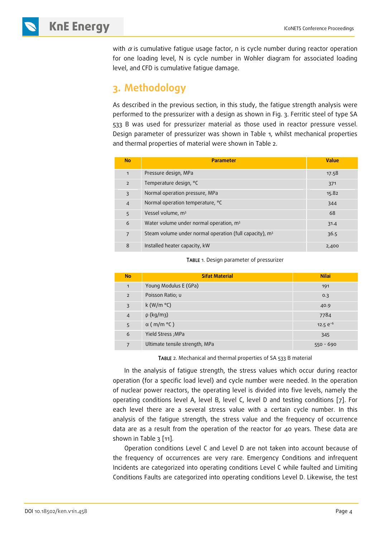## **KNE ENERGY ICONETS Conference Proceedings**

with  $\alpha$  is cumulative fatigue usage factor, n is cycle number during reactor operation for one loading level, N is cycle number in Wohler diagram for associated loading level, and CFD is cumulative fatigue damage.

## **3. Methodology**

As described in the previous section, in this study, the fatigue strength analysis were performed to the pressurizer with a design as shown in Fig. 3. Ferritic steel of type SA 533 B was used for pressurizer material as those used in reactor pressure vessel. Design parameter of pressurizer was shown in Table 1, whilst mechanical properties and thermal properties of material were shown in Table 2.

| <b>No</b>      | <b>Parameter</b>                                          | <b>Value</b> |
|----------------|-----------------------------------------------------------|--------------|
| $\mathbf{1}$   | Pressure design, MPa                                      | 17.58        |
| $\overline{2}$ | Temperature design, °C                                    | 371          |
| 3              | Normal operation pressure, MPa                            | 15.82        |
| $\overline{4}$ | Normal operation temperature, °C                          | 344          |
| 5              | Vessel volume, m <sup>3</sup>                             | 68           |
| 6              | Water volume under normal operation, m <sup>3</sup>       | 31.4         |
| 7              | Steam volume under normal operation (full capacity), $m3$ | 36.5         |
| 8              | Installed heater capacity, kW                             | 2,400        |

TABLE 1. Design parameter of pressurizer

| <b>No</b>      | <b>Sifat Material</b>          | <b>Nilai</b>  |
|----------------|--------------------------------|---------------|
| $\mathbf{1}$   | Young Modulus E (GPa)          | 191           |
| $\overline{2}$ | Poisson Ratio; u               | 0.3           |
| $\overline{3}$ | k (W/m $\degree$ C)            | 40.9          |
| $\overline{4}$ | $\rho$ (kg/m3)                 | 7784          |
| 5              | $\alpha$ (m/m $\degree$ C)     | 12.5 $e^{-6}$ |
| 6              | Yield Stress; MPa              | 345           |
| $\overline{7}$ | Ultimate tensile strength, MPa | $550 - 690$   |

TABLE 2. Mechanical and thermal properties of SA 533 B material

In the analysis of fatigue strength, the stress values which occur during reactor operation (for a specific load level) and cycle number were needed. In the operation of nuclear power reactors, the operating level is divided into five levels, namely the operating conditions level A, level B, level C, level D and testing conditions [7]. For each level there are a several stress value with a certain cycle number. In this analysis of the fatigue strength, the stress value and the frequency of occurrence data are as a result from the operation of the reactor for 40 years. These data are shown in Table 3 [11].

Operation conditions Level C and Level D are not taken into account because of the frequency of occurrences are very rare. Emergency Conditions and infrequent Incidents are categorized into operating conditions Level C while faulted and Limiting Conditions Faults are categorized into operating conditions Level D. Likewise, the test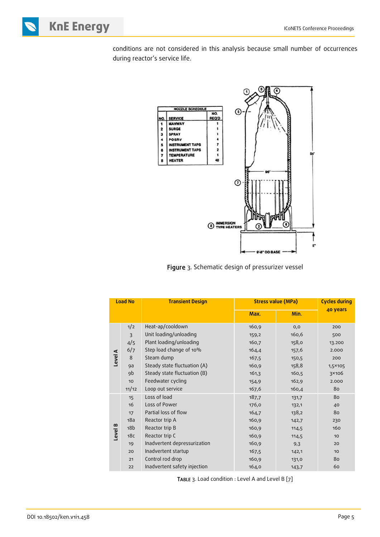**KnE Energy ICONETS Conference Proceedings** 

conditions are not considered in this analysis because small number of occurrences during reactor's service life.



Figure 3. Schematic design of pressurizer vessel

| <b>Load No</b> |                 | <b>Transient Design</b>      | <b>Stress value (MPa)</b> | <b>Cycles during</b> |                  |
|----------------|-----------------|------------------------------|---------------------------|----------------------|------------------|
|                |                 |                              | Max.                      | Min.                 | 40 years         |
|                | 1/2             | Heat-ap/cooldown             | 160,9                     | 0, 0                 | 200              |
|                | $\overline{3}$  | Unit loading/unloading       | 159,2                     | 160,6                | 500              |
|                | 4/5             | Plant loading/unloading      | 160,7                     | 158,0                | 13.200           |
|                | 6/7             | Step load change of 10%      | 164,4                     | 157,6                | 2.000            |
|                | 8               | Steam dump                   | 167,5                     | 150,5                | 200              |
| Level A        | 9a              | Steady state fluctuation (A) | 160,9                     | 158,8                | 1,5×105          |
|                | 9b              | Steady state fluctuation (B) | 161,3                     | 160,5                | 3×106            |
|                | 10              | Feedwater cycling            | 154,9                     | 162,9                | 2.000            |
|                | 11/12           | Loop out service             | 167,6                     | 160,4                | 80               |
|                | 15              | Loss of load                 | 187,7                     | 131,7                | 80               |
|                | 16              | Loss of Power                | 176,0                     | 132,1                | 40               |
|                | 17              | Partial loss of flow         | 164,7                     | 138,2                | 80               |
|                | 18a             | Reactor trip A               | 160,9                     | 142,7                | 230              |
| Level B        | 18 <sub>b</sub> | Reactor trip B               | 160,9                     | 114,5                | 160              |
|                | 18 <sub>C</sub> | Reactor trip C               | 160,9                     | 114,5                | 10               |
|                | 19              | Inadvertent depressurization | 160,9                     | 9,3                  | 20               |
|                | 20              | Inadvertent startup          | 167,5                     | 142,1                | 10 <sup>10</sup> |
|                | 21              | Control rod drop             | 160,9                     | 131,0                | 80               |
|                | 22              | Inadvertent safety injection | 164,0                     | 143,7                | 60               |

TABLE 3. Load condition : Level A and Level B [7]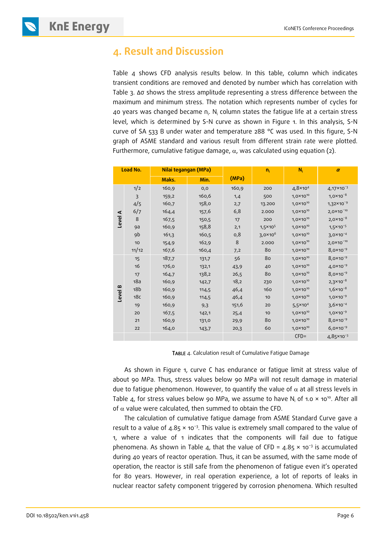**KNE ENERGY ICONETS Conference Proceedings** 



Table 4 shows CFD analysis results below. In this table, column which indicates transient conditions are removed and denoted by number which has correlation with Table 3. Δσ shows the stress amplitude representing a stress difference between the maximum and minimum stress. The notation which represents number of cycles for 40 years was changed became  $n_i$ . N<sub>i</sub> column states the fatigue life at a certain stress level, which is determined by S-N curve as shown in Figure 1. In this analysis, S-N curve of SA 533 B under water and temperature 288 °C was used. In this figure, S-N graph of ASME standard and various result from different strain rate were plotted. Furthermore, cumulative fatigue damage,  $\alpha$ , was calculated using equation (2).

| Load No. |                 | Nilai tegangan (MPa) |       |       | $n_i$             | $N_i$                | $\alpha$              |
|----------|-----------------|----------------------|-------|-------|-------------------|----------------------|-----------------------|
|          |                 | Maks.                | Min.  | (MPa) |                   |                      |                       |
|          | 1/2             | 160,9                | 0, 0  | 160,9 | 200               | $4,8 \times 10^{4}$  | $4,17 \times 10^{-3}$ |
|          | $\overline{3}$  | 159,2                | 160,6 | 1,4   | 500               | $1,0 \times 10^{10}$ | $1,0 \times 10^{-8}$  |
|          | 4/5             | 160,7                | 158,0 | 2,7   | 13.200            | $1,0 \times 10^{10}$ | $1,32\times 10^{-9}$  |
|          | 6/7             | 164,4                | 157,6 | 6,8   | 2.000             | $1,0 \times 10^{10}$ | $2,0 \times 10^{-10}$ |
| Level A  | 8               | 167,5                | 150,5 | 17    | 200               | $1,0 \times 10^{10}$ | $2,0 \times 10^{-8}$  |
|          | 9a              | 160,9                | 158,8 | 2,1   | $1,5 \times 10^5$ | $1,0 \times 10^{10}$ | $1,5 \times 10^{-5}$  |
|          | 9 <sub>b</sub>  | 161,3                | 160,5 | 0,8   | $3,0 \times 10^6$ | $1,0 \times 10^{10}$ | $3,0 \times 10^{-4}$  |
|          | 10              | 154,9                | 162,9 | 8     | 2.000             | $1,0 \times 10^{10}$ | $2,0 \times 10^{-10}$ |
|          | 11/12           | 167,6                | 160,4 | 7,2   | 80                | $1,0 \times 10^{10}$ | $8,0 \times 10^{-9}$  |
|          | 15              | 187,7                | 131,7 | 56    | 80                | $1,0 \times 10^{10}$ | 8,0×10 <sup>-9</sup>  |
|          | 16              | 176,0                | 132,1 | 43,9  | 40                | $1,0 \times 10^{10}$ | $4,0 \times 10^{-9}$  |
|          | 17              | 164,7                | 138,2 | 26,5  | 80                | $1,0 \times 10^{10}$ | $8,0 \times 10^{-9}$  |
|          | 18a             | 160,9                | 142,7 | 18,2  | 230               | $1,0 \times 10^{10}$ | $2,3 \times 10^{-8}$  |
| $\bf{a}$ | 18 <sub>b</sub> | 160,9                | 114,5 | 46,4  | 160               | $1,0 \times 10^{10}$ | $1,6 \times 10^{-8}$  |
| Level    | 18 <sub>C</sub> | 160,9                | 114,5 | 46,4  | 10                | $1,0 \times 10^{10}$ | $1,0 \times 10^{-9}$  |
|          | 19              | 160,9                | 9,3   | 151,6 | 20                | $5,5 \times 10^{4}$  | $3,6 \times 10^{-4}$  |
|          | 20              | 167,5                | 142,1 | 25,4  | 10                | $1,0 \times 10^{10}$ | $1,0 \times 10^{-9}$  |
|          | 21              | 160,9                | 131,0 | 29,9  | 80                | $1,0 \times 10^{10}$ | $8,0 \times 10^{-9}$  |
|          | 22              | 164,0                | 143,7 | 20,3  | 60                | $1,0 \times 10^{10}$ | $6,0 \times 10^{-9}$  |
|          |                 |                      |       |       |                   | $CFD =$              | $4,85 \times 10^{-3}$ |

TABLE 4. Calculation result of Cumulative Fatigue Damage

As shown in Figure 1, curve C has endurance or fatigue limit at stress value of about 90 MPa. Thus, stress values below 90 MPa will not result damage in material due to fatigue phenomenon. However, to quantify the value of  $\alpha$  at all stress levels in Table 4, for stress values below 90 MPa, we assume to have N<sub>i</sub> of 1.0  $\times$  10<sup>10</sup>. After all of  $\alpha$  value were calculated, then summed to obtain the CFD.

The calculation of cumulative fatigue damage from ASME Standard Curve gave a result to a value of 4.85 × 10−3. This value is extremely small compared to the value of 1, where a value of 1 indicates that the components will fail due to fatigue phenomena. As shown in Table 4, that the value of CFD =  $4.85 \times 10^{-3}$  is accumulated during 40 years of reactor operation. Thus, it can be assumed, with the same mode of operation, the reactor is still safe from the phenomenon of fatigue even it's operated for 80 years. However, in real operation experience, a lot of reports of leaks in nuclear reactor safety component triggered by corrosion phenomena. Which resulted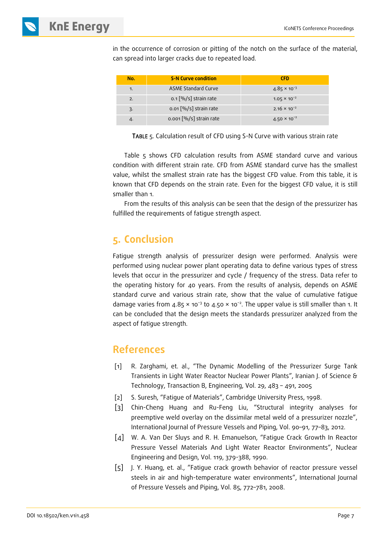in the occurrence of corrosion or pitting of the notch on the surface of the material, can spread into larger cracks due to repeated load.

| No. | <b>S-N Curve condition</b>                                 | <b>CFD</b>            |
|-----|------------------------------------------------------------|-----------------------|
| 1.  | <b>ASME Standard Curve</b>                                 | $4.85 \times 10^{-3}$ |
| 2.  | $0.1$ $\left\lfloor \frac{0}{0} \right\rfloor$ strain rate | $1.05 \times 10^{-2}$ |
| 3.  | $0.01$ $\left\lfloor\frac{0}{0}\right\rfloor$ strain rate  | $2.16 \times 10^{-2}$ |
| 4.  | $0.001$ $\left[\% / s\right]$ strain rate                  | $4.50 \times 10^{-2}$ |

TABLE 5. Calculation result of CFD using S-N Curve with various strain rate

Table 5 shows CFD calculation results from ASME standard curve and various condition with different strain rate. CFD from ASME standard curve has the smallest value, whilst the smallest strain rate has the biggest CFD value. From this table, it is known that CFD depends on the strain rate. Even for the biggest CFD value, it is still smaller than 1.

From the results of this analysis can be seen that the design of the pressurizer has fulfilled the requirements of fatigue strength aspect.

### **5. Conclusion**

Fatigue strength analysis of pressurizer design were performed. Analysis were performed using nuclear power plant operating data to define various types of stress levels that occur in the pressurizer and cycle / frequency of the stress. Data refer to the operating history for 40 years. From the results of analysis, depends on ASME standard curve and various strain rate, show that the value of cumulative fatigue damage varies from  $4.85 \times 10^{-3}$  to  $4.50 \times 10^{-2}$ . The upper value is still smaller than 1. It can be concluded that the design meets the standards pressurizer analyzed from the aspect of fatigue strength.

### **References**

- [1] R. Zarghami, et. al., "The Dynamic Modelling of the Pressurizer Surge Tank Transients in Light Water Reactor Nuclear Power Plants", Iranian J. of Science & Technology, Transaction B, Engineering, Vol. 29, 483 – 491, 2005
- [2] S. Suresh, "Fatigue of Materials", Cambridge University Press, 1998.
- [3] Chin-Cheng Huang and Ru-Feng Liu, "Structural integrity analyses for preemptive weld overlay on the dissimilar metal weld of a pressurizer nozzle", International Journal of Pressure Vessels and Piping, Vol. 90–91, 77–83, 2012.
- [4] W. A. Van Der Sluys and R. H. Emanuelson, "Fatigue Crack Growth In Reactor Pressure Vessel Materials And Light Water Reactor Environments", Nuclear Engineering and Design, Vol. 119, 379-388, 1990.
- [5] J. Y. Huang, et. al., "Fatigue crack growth behavior of reactor pressure vessel steels in air and high-temperature water environments", International Journal of Pressure Vessels and Piping, Vol. 85, 772–781, 2008.